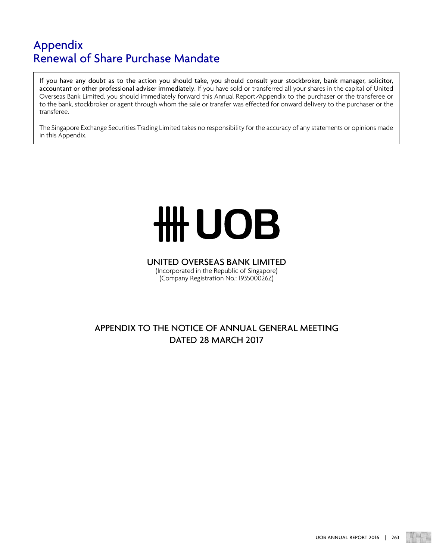If you have any doubt as to the action you should take, you should consult your stockbroker, bank manager, solicitor, accountant or other professional adviser immediately. If you have sold or transferred all your shares in the capital of United Overseas Bank Limited, you should immediately forward this Annual Report/Appendix to the purchaser or the transferee or to the bank, stockbroker or agent through whom the sale or transfer was effected for onward delivery to the purchaser or the transferee.

The Singapore Exchange Securities Trading Limited takes no responsibility for the accuracy of any statements or opinions made in this Appendix.

# **HHUOB**

#### UNITED OVERSEAS BANK LIMITED (Incorporated in the Republic of Singapore)

(Company Registration No.: 193500026Z)

### APPENDIX TO THE NOTICE OF ANNUAL GENERAL MEETING DATED 28 MARCH 2017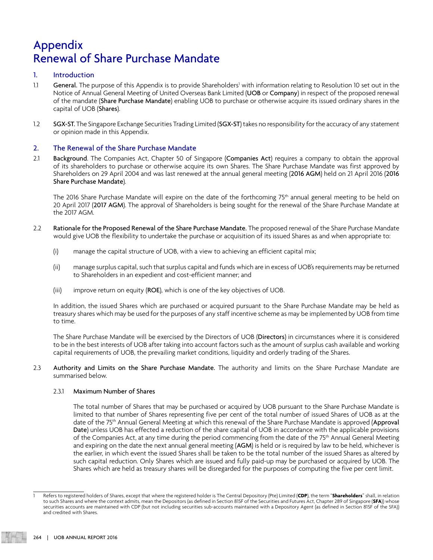#### 1. Introduction

- 1.1 General. The purpose of this Appendix is to provide Shareholders<sup>1</sup> with information relating to Resolution 10 set out in the Notice of Annual General Meeting of United Overseas Bank Limited (UOB or Company) in respect of the proposed renewal of the mandate (Share Purchase Mandate) enabling UOB to purchase or otherwise acquire its issued ordinary shares in the capital of UOB (Shares).
- 1.2 SGX-ST. The Singapore Exchange Securities Trading Limited (SGX-ST) takes no responsibility for the accuracy of any statement or opinion made in this Appendix.

#### 2. The Renewal of the Share Purchase Mandate

2.1 Background. The Companies Act, Chapter 50 of Singapore (Companies Act) requires a company to obtain the approval of its shareholders to purchase or otherwise acquire its own Shares. The Share Purchase Mandate was first approved by Shareholders on 29 April 2004 and was last renewed at the annual general meeting (2016 AGM) held on 21 April 2016 (2016 Share Purchase Mandate).

The 2016 Share Purchase Mandate will expire on the date of the forthcoming 75<sup>th</sup> annual general meeting to be held on 20 April 2017 (2017 AGM). The approval of Shareholders is being sought for the renewal of the Share Purchase Mandate at the 2017 AGM.

- 2.2 Rationale for the Proposed Renewal of the Share Purchase Mandate. The proposed renewal of the Share Purchase Mandate would give UOB the flexibility to undertake the purchase or acquisition of its issued Shares as and when appropriate to:
	- (i) manage the capital structure of UOB, with a view to achieving an efficient capital mix;
	- (ii) manage surplus capital, such that surplus capital and funds which are in excess of UOB's requirements may be returned to Shareholders in an expedient and cost-efficient manner; and
	- (iii) improve return on equity (ROE), which is one of the key objectives of UOB.

 In addition, the issued Shares which are purchased or acquired pursuant to the Share Purchase Mandate may be held as treasury shares which may be used for the purposes of any staff incentive scheme as may be implemented by UOB from time to time.

The Share Purchase Mandate will be exercised by the Directors of UOB (Directors) in circumstances where it is considered to be in the best interests of UOB after taking into account factors such as the amount of surplus cash available and working capital requirements of UOB, the prevailing market conditions, liquidity and orderly trading of the Shares.

2.3 Authority and Limits on the Share Purchase Mandate. The authority and limits on the Share Purchase Mandate are summarised below.

#### 2.3.1 Maximum Number of Shares

 The total number of Shares that may be purchased or acquired by UOB pursuant to the Share Purchase Mandate is limited to that number of Shares representing five per cent of the total number of issued Shares of UOB as at the date of the 75<sup>th</sup> Annual General Meeting at which this renewal of the Share Purchase Mandate is approved (Approval Date) unless UOB has effected a reduction of the share capital of UOB in accordance with the applicable provisions of the Companies Act, at any time during the period commencing from the date of the 75<sup>th</sup> Annual General Meeting and expiring on the date the next annual general meeting (AGM) is held or is required by law to be held, whichever is the earlier, in which event the issued Shares shall be taken to be the total number of the issued Shares as altered by such capital reduction. Only Shares which are issued and fully paid-up may be purchased or acquired by UOB. The Shares which are held as treasury shares will be disregarded for the purposes of computing the five per cent limit.

<sup>1</sup> Refers to registered holders of Shares, except that where the registered holder is The Central Depository (Pte) Limited (**CDP**), the term "**Shareholders**" shall, in relation to such Shares and where the context admits, mean the Depositors (as defined in Section 81SF of the Securities and Futures Act, Chapter 289 of Singapore (**SFA**)) whose securities accounts are maintained with CDP (but not including securities sub-accounts maintained with a Depository Agent (as defined in Section 81SF of the SFA)) and credited with Shares.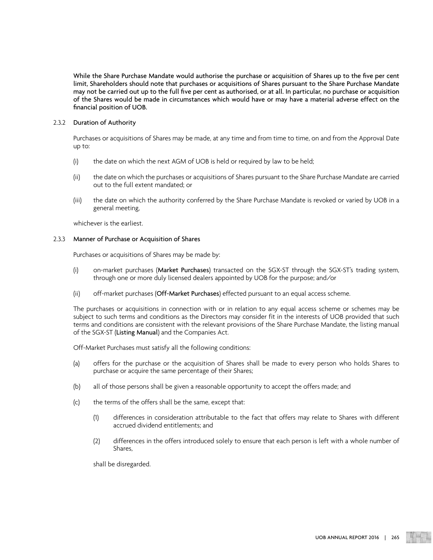While the Share Purchase Mandate would authorise the purchase or acquisition of Shares up to the five per cent limit, Shareholders should note that purchases or acquisitions of Shares pursuant to the Share Purchase Mandate may not be carried out up to the full five per cent as authorised, or at all. In particular, no purchase or acquisition of the Shares would be made in circumstances which would have or may have a material adverse effect on the financial position of UOB.

#### 2.3.2 Duration of Authority

Purchases or acquisitions of Shares may be made, at any time and from time to time, on and from the Approval Date up to:

- (i) the date on which the next AGM of UOB is held or required by law to be held;
- (ii) the date on which the purchases or acquisitions of Shares pursuant to the Share Purchase Mandate are carried out to the full extent mandated; or
- (iii) the date on which the authority conferred by the Share Purchase Mandate is revoked or varied by UOB in a general meeting,

whichever is the earliest.

#### 2.3.3 Manner of Purchase or Acquisition of Shares

Purchases or acquisitions of Shares may be made by:

- (i) on-market purchases (Market Purchases) transacted on the SGX-ST through the SGX-ST's trading system, through one or more duly licensed dealers appointed by UOB for the purpose; and/or
- (ii) off-market purchases (Off-Market Purchases) effected pursuant to an equal access scheme.

The purchases or acquisitions in connection with or in relation to any equal access scheme or schemes may be subject to such terms and conditions as the Directors may consider fit in the interests of UOB provided that such terms and conditions are consistent with the relevant provisions of the Share Purchase Mandate, the listing manual of the SGX-ST (Listing Manual) and the Companies Act.

Off-Market Purchases must satisfy all the following conditions:

- (a) offers for the purchase or the acquisition of Shares shall be made to every person who holds Shares to purchase or acquire the same percentage of their Shares;
- (b) all of those persons shall be given a reasonable opportunity to accept the offers made; and
- (c) the terms of the offers shall be the same, except that:
	- (1) differences in consideration attributable to the fact that offers may relate to Shares with different accrued dividend entitlements; and
	- (2) differences in the offers introduced solely to ensure that each person is left with a whole number of Shares,

shall be disregarded.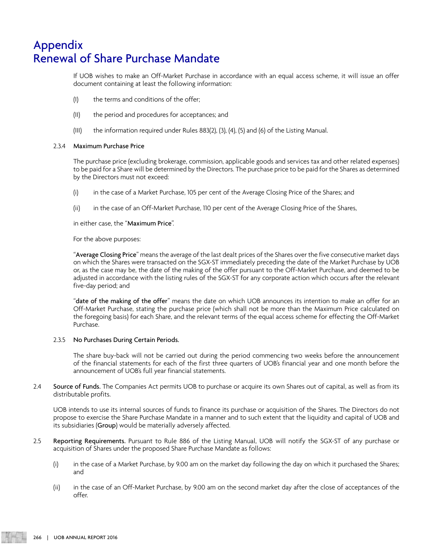If UOB wishes to make an Off-Market Purchase in accordance with an equal access scheme, it will issue an offer document containing at least the following information:

- (I) the terms and conditions of the offer;
- (II) the period and procedures for acceptances; and
- (III) the information required under Rules 883(2), (3), (4), (5) and (6) of the Listing Manual.

#### 2.3.4 Maximum Purchase Price

The purchase price (excluding brokerage, commission, applicable goods and services tax and other related expenses) to be paid for a Share will be determined by the Directors. The purchase price to be paid for the Shares as determined by the Directors must not exceed:

- (i) in the case of a Market Purchase, 105 per cent of the Average Closing Price of the Shares; and
- (ii) in the case of an Off-Market Purchase, 110 per cent of the Average Closing Price of the Shares,

in either case, the "Maximum Price".

For the above purposes:

"Average Closing Price" means the average of the last dealt prices of the Shares over the five consecutive market days on which the Shares were transacted on the SGX-ST immediately preceding the date of the Market Purchase by UOB or, as the case may be, the date of the making of the offer pursuant to the Off-Market Purchase, and deemed to be adjusted in accordance with the listing rules of the SGX-ST for any corporate action which occurs after the relevant five-day period; and

"date of the making of the offer" means the date on which UOB announces its intention to make an offer for an Off-Market Purchase, stating the purchase price (which shall not be more than the Maximum Price calculated on the foregoing basis) for each Share, and the relevant terms of the equal access scheme for effecting the Off-Market Purchase.

#### 2.3.5 No Purchases During Certain Periods.

The share buy-back will not be carried out during the period commencing two weeks before the announcement of the financial statements for each of the first three quarters of UOB's financial year and one month before the announcement of UOB's full year financial statements.

2.4 Source of Funds. The Companies Act permits UOB to purchase or acquire its own Shares out of capital, as well as from its distributable profits.

UOB intends to use its internal sources of funds to finance its purchase or acquisition of the Shares. The Directors do not propose to exercise the Share Purchase Mandate in a manner and to such extent that the liquidity and capital of UOB and its subsidiaries (Group) would be materially adversely affected.

- 2.5 Reporting Requirements. Pursuant to Rule 886 of the Listing Manual, UOB will notify the SGX-ST of any purchase or acquisition of Shares under the proposed Share Purchase Mandate as follows:
	- (i) in the case of a Market Purchase, by 9.00 am on the market day following the day on which it purchased the Shares; and
	- (ii) in the case of an Off-Market Purchase, by 9.00 am on the second market day after the close of acceptances of the offer.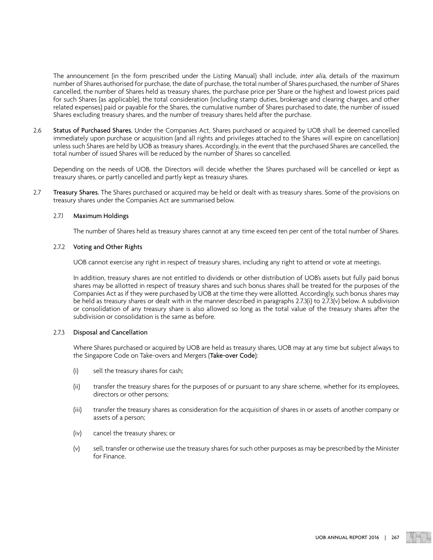The announcement (in the form prescribed under the Listing Manual) shall include, *inter alia*, details of the maximum number of Shares authorised for purchase, the date of purchase, the total number of Shares purchased, the number of Shares cancelled, the number of Shares held as treasury shares, the purchase price per Share or the highest and lowest prices paid for such Shares (as applicable), the total consideration (including stamp duties, brokerage and clearing charges, and other related expenses) paid or payable for the Shares, the cumulative number of Shares purchased to date, the number of issued Shares excluding treasury shares, and the number of treasury shares held after the purchase.

2.6 Status of Purchased Shares. Under the Companies Act, Shares purchased or acquired by UOB shall be deemed cancelled immediately upon purchase or acquisition (and all rights and privileges attached to the Shares will expire on cancellation) unless such Shares are held by UOB as treasury shares. Accordingly, in the event that the purchased Shares are cancelled, the total number of issued Shares will be reduced by the number of Shares so cancelled.

Depending on the needs of UOB, the Directors will decide whether the Shares purchased will be cancelled or kept as treasury shares, or partly cancelled and partly kept as treasury shares.

2.7 Treasury Shares. The Shares purchased or acquired may be held or dealt with as treasury shares. Some of the provisions on treasury shares under the Companies Act are summarised below.

#### 2.7.1 Maximum Holdings

The number of Shares held as treasury shares cannot at any time exceed ten per cent of the total number of Shares.

#### 2.7.2 Voting and Other Rights

UOB cannot exercise any right in respect of treasury shares, including any right to attend or vote at meetings.

In addition, treasury shares are not entitled to dividends or other distribution of UOB's assets but fully paid bonus shares may be allotted in respect of treasury shares and such bonus shares shall be treated for the purposes of the Companies Act as if they were purchased by UOB at the time they were allotted. Accordingly, such bonus shares may be held as treasury shares or dealt with in the manner described in paragraphs 2.7.3(i) to 2.7.3(v) below. A subdivision or consolidation of any treasury share is also allowed so long as the total value of the treasury shares after the subdivision or consolidation is the same as before.

#### 2.7.3 Disposal and Cancellation

Where Shares purchased or acquired by UOB are held as treasury shares, UOB may at any time but subject always to the Singapore Code on Take-overs and Mergers (Take-over Code):

- (i) sell the treasury shares for cash;
- (ii) transfer the treasury shares for the purposes of or pursuant to any share scheme, whether for its employees, directors or other persons;
- (iii) transfer the treasury shares as consideration for the acquisition of shares in or assets of another company or assets of a person;
- (iv) cancel the treasury shares; or
- (v) sell, transfer or otherwise use the treasury shares for such other purposes as may be prescribed by the Minister for Finance.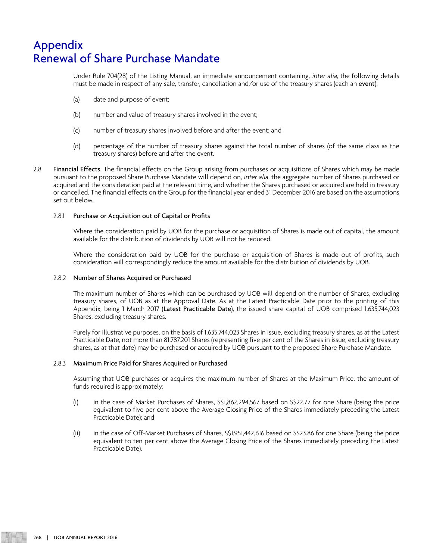Under Rule 704(28) of the Listing Manual, an immediate announcement containing, inter alia, the following details must be made in respect of any sale, transfer, cancellation and/or use of the treasury shares (each an event):

- (a) date and purpose of event;
- (b) number and value of treasury shares involved in the event;
- (c) number of treasury shares involved before and after the event; and
- (d) percentage of the number of treasury shares against the total number of shares (of the same class as the treasury shares) before and after the event.
- 2.8 Financial Effects. The financial effects on the Group arising from purchases or acquisitions of Shares which may be made pursuant to the proposed Share Purchase Mandate will depend on, inter alia, the aggregate number of Shares purchased or acquired and the consideration paid at the relevant time, and whether the Shares purchased or acquired are held in treasury or cancelled. The financial effects on the Group for the financial year ended 31 December 2016 are based on the assumptions set out below.

#### 2.8.1 Purchase or Acquisition out of Capital or Profits

Where the consideration paid by UOB for the purchase or acquisition of Shares is made out of capital, the amount available for the distribution of dividends by UOB will not be reduced.

Where the consideration paid by UOB for the purchase or acquisition of Shares is made out of profits, such consideration will correspondingly reduce the amount available for the distribution of dividends by UOB.

#### 2.8.2 Number of Shares Acquired or Purchased

The maximum number of Shares which can be purchased by UOB will depend on the number of Shares, excluding treasury shares, of UOB as at the Approval Date. As at the Latest Practicable Date prior to the printing of this Appendix, being 1 March 2017 (Latest Practicable Date), the issued share capital of UOB comprised 1,635,744,023 Shares, excluding treasury shares.

Purely for illustrative purposes, on the basis of 1,635,744,023 Shares in issue, excluding treasury shares, as at the Latest Practicable Date, not more than 81,787,201 Shares (representing five per cent of the Shares in issue, excluding treasury shares, as at that date) may be purchased or acquired by UOB pursuant to the proposed Share Purchase Mandate.

#### 2.8.3 Maximum Price Paid for Shares Acquired or Purchased

Assuming that UOB purchases or acquires the maximum number of Shares at the Maximum Price, the amount of funds required is approximately:

- (i) in the case of Market Purchases of Shares, S\$1,862,294,567 based on S\$22.77 for one Share (being the price equivalent to five per cent above the Average Closing Price of the Shares immediately preceding the Latest Practicable Date); and
- (ii) in the case of Off-Market Purchases of Shares, S\$1,951,442,616 based on S\$23.86 for one Share (being the price equivalent to ten per cent above the Average Closing Price of the Shares immediately preceding the Latest Practicable Date).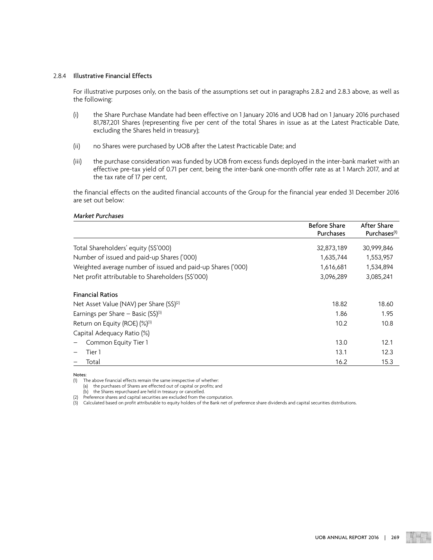#### 2.8.4 Illustrative Financial Effects

For illustrative purposes only, on the basis of the assumptions set out in paragraphs 2.8.2 and 2.8.3 above, as well as the following:

- (i) the Share Purchase Mandate had been effective on 1 January 2016 and UOB had on 1 January 2016 purchased 81,787,201 Shares (representing five per cent of the total Shares in issue as at the Latest Practicable Date, excluding the Shares held in treasury);
- (ii) no Shares were purchased by UOB after the Latest Practicable Date; and
- (iii) the purchase consideration was funded by UOB from excess funds deployed in the inter-bank market with an effective pre-tax yield of 0.71 per cent, being the inter-bank one-month offer rate as at 1 March 2017, and at the tax rate of 17 per cent,

the financial effects on the audited financial accounts of the Group for the financial year ended 31 December 2016 are set out below:

#### Market Purchases

|                                                             | <b>Before Share</b><br>Purchases | After Share<br>Purchases <sup>(1)</sup> |
|-------------------------------------------------------------|----------------------------------|-----------------------------------------|
| Total Shareholders' equity (S\$'000)                        | 32,873,189                       | 30,999,846                              |
| Number of issued and paid-up Shares ('000)                  | 1,635,744                        | 1,553,957                               |
| Weighted average number of issued and paid-up Shares ('000) | 1,616,681                        | 1,534,894                               |
| Net profit attributable to Shareholders (S\$'000)           | 3,096,289                        | 3,085,241                               |
| <b>Financial Ratios</b>                                     |                                  |                                         |
| Net Asset Value (NAV) per Share (S\$) <sup>(2)</sup>        | 18.82                            | 18.60                                   |
| Earnings per Share – Basic $(S\hat{S})^{(3)}$               | 1.86                             | 1.95                                    |
| Return on Equity (ROE) (%)(3)                               | 10.2                             | 10.8                                    |
| Capital Adequacy Ratio (%)                                  |                                  |                                         |
| Common Equity Tier 1                                        | 13.0                             | 12.1                                    |
| Tier 1                                                      | 13.1                             | 12.3                                    |
| Total                                                       | 16.2                             | 15.3                                    |

Notes:

(a) the purchases of Shares are effected out of capital or profits; and

(b) the Shares repurchased are held in treasury or cancelled.

(2) Preference shares and capital securities are excluded from the computation.

(3) Calculated based on profit attributable to equity holders of the Bank net of preference share dividends and capital securities distributions.

<sup>(1)</sup> The above financial effects remain the same irrespective of whether: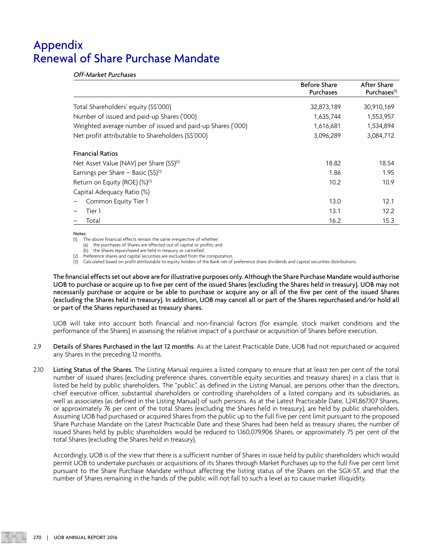Off-Market Purchases

|                                                             | <b>Before Share</b><br>Purchases | After Share<br>Purchases <sup>(1)</sup> |
|-------------------------------------------------------------|----------------------------------|-----------------------------------------|
| Total Shareholders' equity (S\$'000)                        | 32,873,189                       | 30,910,169                              |
| Number of issued and paid-up Shares ('000)                  | 1,635,744                        | 1,553,957                               |
| Weighted average number of issued and paid-up Shares ('000) | 1,616,681                        | 1,534,894                               |
| Net profit attributable to Shareholders (S\$'000)           | 3,096,289                        | 3,084,712                               |
| <b>Financial Ratios</b>                                     |                                  |                                         |
| Net Asset Value (NAV) per Share (S\$) <sup>(2)</sup>        | 18.82                            | 18.54                                   |
| Earnings per Share – Basic $(S\hat{S})^{(3)}$               | 1.86                             | 1.95                                    |
| Return on Equity (ROE) (%)(3)                               | 10.2                             | 10.9                                    |
| Capital Adequacy Ratio (%)                                  |                                  |                                         |
| Common Equity Tier 1                                        | 13.0                             | 12.1                                    |
| Tier 1                                                      | 13.1                             | 12.2                                    |
| Total                                                       | 16.2                             | 15.3                                    |

#### Notes:

(1) The above financial effects remain the same irrespective of whether:

(a) the purchases of Shares are effected out of capital or profits; and

(b) the Shares repurchased are held in treasury or cancelled.

(2) Preference shares and capital securities are excluded from the computation.

(3) Calculated based on profit attributable to equity holders of the Bank net of preference share dividends and capital securities distributions.

The financial effects set out above are for illustrative purposes only. Although the Share Purchase Mandate would authorise UOB to purchase or acquire up to five per cent of the issued Shares (excluding the Shares held in treasury), UOB may not necessarily purchase or acquire or be able to purchase or acquire any or all of the five per cent of the issued Shares (excluding the Shares held in treasury). In addition, UOB may cancel all or part of the Shares repurchased and/or hold all or part of the Shares repurchased as treasury shares.

UOB will take into account both financial and non-financial factors (for example, stock market conditions and the performance of the Shares) in assessing the relative impact of a purchase or acquisition of Shares before execution.

- 2.9 Details of Shares Purchased in the last 12 months. As at the Latest Practicable Date, UOB had not repurchased or acquired any Shares in the preceding 12 months.
- 2.10 Listing Status of the Shares. The Listing Manual requires a listed company to ensure that at least ten per cent of the total number of issued shares (excluding preference shares, convertible equity securities and treasury shares) in a class that is listed be held by public shareholders. The "public", as defined in the Listing Manual, are persons other than the directors, chief executive officer, substantial shareholders or controlling shareholders of a listed company and its subsidiaries, as well as associates (as defined in the Listing Manual) of such persons. As at the Latest Practicable Date, 1,241,867,107 Shares, or approximately 76 per cent of the total Shares (excluding the Shares held in treasury), are held by public shareholders. Assuming UOB had purchased or acquired Shares from the public up to the full five per cent limit pursuant to the proposed Share Purchase Mandate on the Latest Practicable Date and these Shares had been held as treasury shares, the number of issued Shares held by public shareholders would be reduced to 1,160,079,906 Shares, or approximately 75 per cent of the total Shares (excluding the Shares held in treasury).

Accordingly, UOB is of the view that there is a sufficient number of Shares in issue held by public shareholders which would permit UOB to undertake purchases or acquisitions of its Shares through Market Purchases up to the full five per cent limit pursuant to the Share Purchase Mandate without affecting the listing status of the Shares on the SGX-ST, and that the number of Shares remaining in the hands of the public will not fall to such a level as to cause market illiquidity.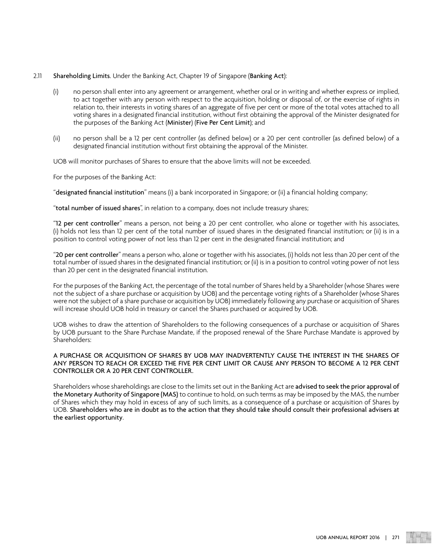#### 2.11 Shareholding Limits. Under the Banking Act, Chapter 19 of Singapore (Banking Act):

- (i) no person shall enter into any agreement or arrangement, whether oral or in writing and whether express or implied, to act together with any person with respect to the acquisition, holding or disposal of, or the exercise of rights in relation to, their interests in voting shares of an aggregate of five per cent or more of the total votes attached to all voting shares in a designated financial institution, without first obtaining the approval of the Minister designated for the purposes of the Banking Act (Minister) (Five Per Cent Limit); and
- (ii) no person shall be a 12 per cent controller (as defined below) or a 20 per cent controller (as defined below) of a designated financial institution without first obtaining the approval of the Minister.

UOB will monitor purchases of Shares to ensure that the above limits will not be exceeded.

For the purposes of the Banking Act:

"designated financial institution" means (i) a bank incorporated in Singapore; or (ii) a financial holding company;

"total number of issued shares", in relation to a company, does not include treasury shares;

"12 per cent controller" means a person, not being a 20 per cent controller, who alone or together with his associates, (i) holds not less than 12 per cent of the total number of issued shares in the designated financial institution; or (ii) is in a position to control voting power of not less than 12 per cent in the designated financial institution; and

"20 per cent controller" means a person who, alone or together with his associates, (i) holds not less than 20 per cent of the total number of issued shares in the designated financial institution; or (ii) is in a position to control voting power of not less than 20 per cent in the designated financial institution.

For the purposes of the Banking Act, the percentage of the total number of Shares held by a Shareholder (whose Shares were not the subject of a share purchase or acquisition by UOB) and the percentage voting rights of a Shareholder (whose Shares were not the subject of a share purchase or acquisition by UOB) immediately following any purchase or acquisition of Shares will increase should UOB hold in treasury or cancel the Shares purchased or acquired by UOB.

UOB wishes to draw the attention of Shareholders to the following consequences of a purchase or acquisition of Shares by UOB pursuant to the Share Purchase Mandate, if the proposed renewal of the Share Purchase Mandate is approved by Shareholders:

#### A PURCHASE OR ACQUISITION OF SHARES BY UOB MAY INADVERTENTLY CAUSE THE INTEREST IN THE SHARES OF ANY PERSON TO REACH OR EXCEED THE FIVE PER CENT LIMIT OR CAUSE ANY PERSON TO BECOME A 12 PER CENT CONTROLLER OR A 20 PER CENT CONTROLLER.

Shareholders whose shareholdings are close to the limits set out in the Banking Act are advised to seek the prior approval of the Monetary Authority of Singapore (MAS) to continue to hold, on such terms as may be imposed by the MAS, the number of Shares which they may hold in excess of any of such limits, as a consequence of a purchase or acquisition of Shares by UOB. Shareholders who are in doubt as to the action that they should take should consult their professional advisers at the earliest opportunity.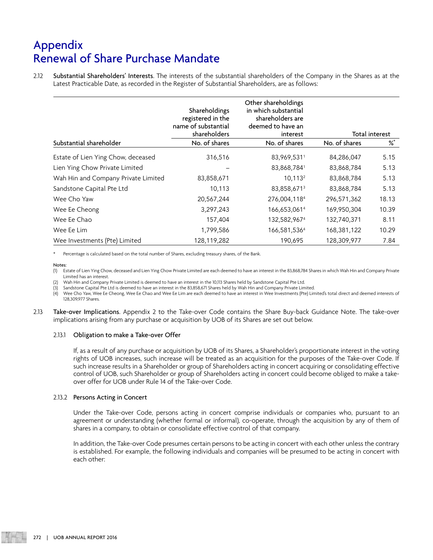2.12 Substantial Shareholders' Interests. The interests of the substantial shareholders of the Company in the Shares as at the Latest Practicable Date, as recorded in the Register of Substantial Shareholders, are as follows:

|                                     | Shareholdings<br>registered in the<br>name of substantial<br>shareholders | Other shareholdings<br>in which substantial<br>shareholders are<br>deemed to have an<br>interest |               | Total interest |
|-------------------------------------|---------------------------------------------------------------------------|--------------------------------------------------------------------------------------------------|---------------|----------------|
| Substantial shareholder             | No. of shares                                                             | No. of shares                                                                                    | No. of shares | ℅              |
| Estate of Lien Ying Chow, deceased  | 316,516                                                                   | 83,969,5311                                                                                      | 84,286,047    | 5.15           |
| Lien Ying Chow Private Limited      |                                                                           | 83,868,7841                                                                                      | 83,868,784    | 5.13           |
| Wah Hin and Company Private Limited | 83,858,671                                                                | $10,113^2$                                                                                       | 83,868,784    | 5.13           |
| Sandstone Capital Pte Ltd           | 10,113                                                                    | 83,858,6713                                                                                      | 83,868,784    | 5.13           |
| Wee Cho Yaw                         | 20,567,244                                                                | 276,004,1184                                                                                     | 296,571,362   | 18.13          |
| Wee Ee Cheong                       | 3,297,243                                                                 | 166,653,061 <sup>4</sup>                                                                         | 169,950,304   | 10.39          |
| Wee Ee Chao                         | 157,404                                                                   | 132,582,9674                                                                                     | 132,740,371   | 8.11           |
| Wee Ee Lim                          | 1,799,586                                                                 | 166,581,5364                                                                                     | 168,381,122   | 10.29          |
| Wee Investments (Pte) Limited       | 128,119,282                                                               | 190,695                                                                                          | 128,309,977   | 7.84           |

Percentage is calculated based on the total number of Shares, excluding treasury shares, of the Bank.

#### Notes:

(1) Estate of Lien Ying Chow, deceased and Lien Ying Chow Private Limited are each deemed to have an interest in the 83,868,784 Shares in which Wah Hin and Company Private Limited has an interest.

(2) Wah Hin and Company Private Limited is deemed to have an interest in the 10,113 Shares held by Sandstone Capital Pte Ltd.

(3) Sandstone Capital Pte Ltd is deemed to have an interest in the 83,858,671 Shares held by Wah Hin and Company Private Limited.<br>(4) Wee Cho Yaw, Wee Ee Cheong, Wee Ee Chao and Wee Ee Lim are each deemed to have an intere 128,309,977 Shares.

2.13 Take-over Implications. Appendix 2 to the Take-over Code contains the Share Buy-back Guidance Note. The take-over implications arising from any purchase or acquisition by UOB of its Shares are set out below.

#### 2.13.1 Obligation to make a Take-over Offer

If, as a result of any purchase or acquisition by UOB of its Shares, a Shareholder's proportionate interest in the voting rights of UOB increases, such increase will be treated as an acquisition for the purposes of the Take-over Code. If such increase results in a Shareholder or group of Shareholders acting in concert acquiring or consolidating effective control of UOB, such Shareholder or group of Shareholders acting in concert could become obliged to make a takeover offer for UOB under Rule 14 of the Take-over Code.

#### 2.13.2 Persons Acting in Concert

Under the Take-over Code, persons acting in concert comprise individuals or companies who, pursuant to an agreement or understanding (whether formal or informal), co-operate, through the acquisition by any of them of shares in a company, to obtain or consolidate effective control of that company.

In addition, the Take-over Code presumes certain persons to be acting in concert with each other unless the contrary is established. For example, the following individuals and companies will be presumed to be acting in concert with each other: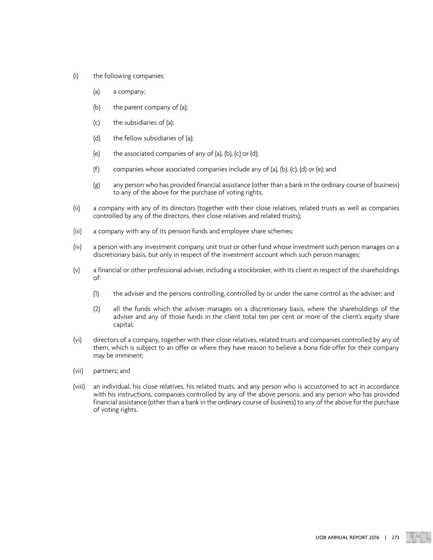- (i) the following companies:
	- (a) a company;
	- (b) the parent company of (a);
	- (c) the subsidiaries of (a);
	- (d) the fellow subsidiaries of (a);
	- (e) the associated companies of any of (a), (b), (c) or (d);
	- (f) companies whose associated companies include any of (a), (b), (c), (d) or (e); and
	- (g) any person who has provided financial assistance (other than a bank in the ordinary course of business) to any of the above for the purchase of voting rights;
- (ii) a company with any of its directors (together with their close relatives, related trusts as well as companies controlled by any of the directors, their close relatives and related trusts);
- (iii) a company with any of its pension funds and employee share schemes;
- (iv) a person with any investment company, unit trust or other fund whose investment such person manages on a discretionary basis, but only in respect of the investment account which such person manages;
- (v) a financial or other professional adviser, including a stockbroker, with its client in respect of the shareholdings of:
	- (1) the adviser and the persons controlling, controlled by or under the same control as the adviser; and
	- (2) all the funds which the adviser manages on a discretionary basis, where the shareholdings of the adviser and any of those funds in the client total ten per cent or more of the client's equity share capital;
- (vi) directors of a company, together with their close relatives, related trusts and companies controlled by any of them, which is subject to an offer or where they have reason to believe a bona fide offer for their company may be imminent;
- (vii) partners; and
- (viii) an individual, his close relatives, his related trusts, and any person who is accustomed to act in accordance with his instructions, companies controlled by any of the above persons, and any person who has provided financial assistance (other than a bank in the ordinary course of business) to any of the above for the purchase of voting rights.